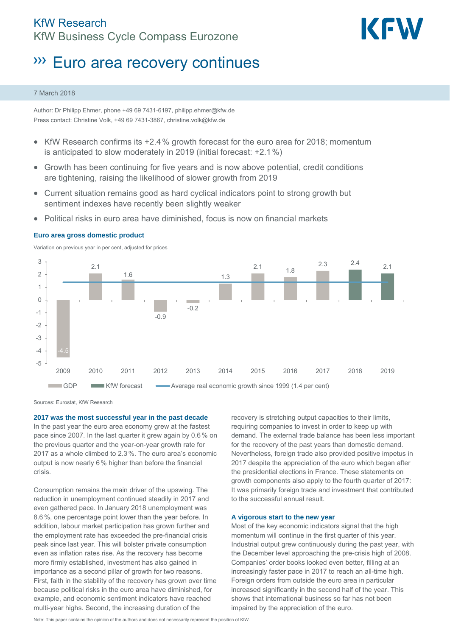# KfW Research KfW Business Cycle Compass Eurozone



# Euro area recovery continues

#### 7 March 2018

Author: Dr Philipp Ehmer, phone +49 69 7431-6197, philipp.ehmer@kfw.de Press contact: Christine Volk, +49 69 7431-3867, christine.volk@kfw.de

- $\bullet$  KfW Research confirms its  $+2.4\%$  growth forecast for the euro area for 2018; momentum is anticipated to slow moderately in 2019 (initial forecast: +2.1%)
- Growth has been continuing for five years and is now above potential, credit conditions are tightening, raising the likelihood of slower growth from 2019
- Current situation remains good as hard cyclical indicators point to strong growth but sentiment indexes have recently been slightly weaker
- Political risks in euro area have diminished, focus is now on financial markets



## **Euro area gross domestic product**

Variation on previous year in per cent, adjusted for prices

Sources: Eurostat, KfW Research

**2017 was the most successful year in the past decade** 

In the past year the euro area economy grew at the fastest pace since 2007. In the last quarter it grew again by 0.6% on the previous quarter and the year-on-year growth rate for 2017 as a whole climbed to 2.3 %. The euro area's economic output is now nearly 6 % higher than before the financial crisis.

Consumption remains the main driver of the upswing. The reduction in unemployment continued steadily in 2017 and even gathered pace. In January 2018 unemployment was 8.6 %, one percentage point lower than the year before. In addition, labour market participation has grown further and the employment rate has exceeded the pre-financial crisis peak since last year. This will bolster private consumption even as inflation rates rise. As the recovery has become more firmly established, investment has also gained in importance as a second pillar of growth for two reasons. First, faith in the stability of the recovery has grown over time because political risks in the euro area have diminished, for example, and economic sentiment indicators have reached multi-year highs. Second, the increasing duration of the

recovery is stretching output capacities to their limits, requiring companies to invest in order to keep up with demand. The external trade balance has been less important for the recovery of the past years than domestic demand. Nevertheless, foreign trade also provided positive impetus in 2017 despite the appreciation of the euro which began after the presidential elections in France. These statements on growth components also apply to the fourth quarter of 2017: It was primarily foreign trade and investment that contributed to the successful annual result.

#### **A vigorous start to the new year**

Most of the key economic indicators signal that the high momentum will continue in the first quarter of this year. Industrial output grew continuously during the past year, with the December level approaching the pre-crisis high of 2008. Companies' order books looked even better, filling at an increasingly faster pace in 2017 to reach an all-time high. Foreign orders from outside the euro area in particular increased significantly in the second half of the year. This shows that international business so far has not been impaired by the appreciation of the euro.

Note: This paper contains the opinion of the authors and does not necessarily represent the position of KfW.